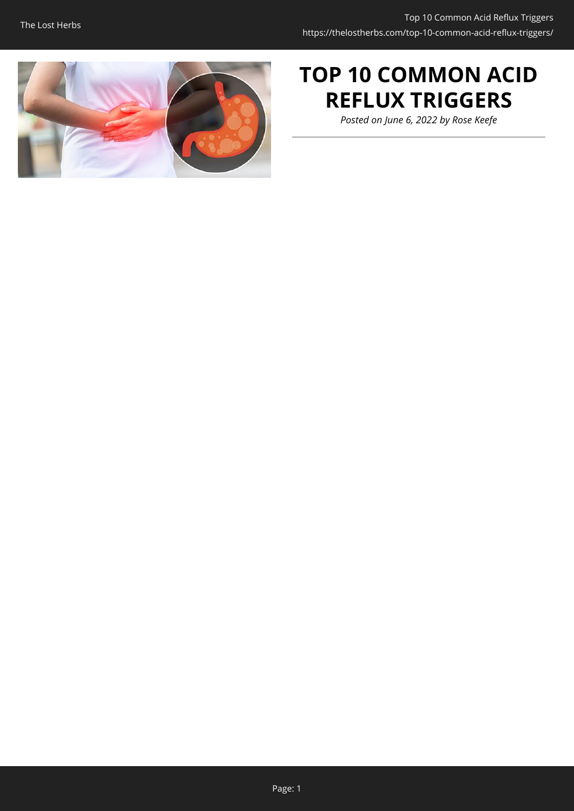

# **TOP 10 COMMON ACID REFLUX TRIGGERS**

*Posted on June 6, 2022 by Rose Keefe*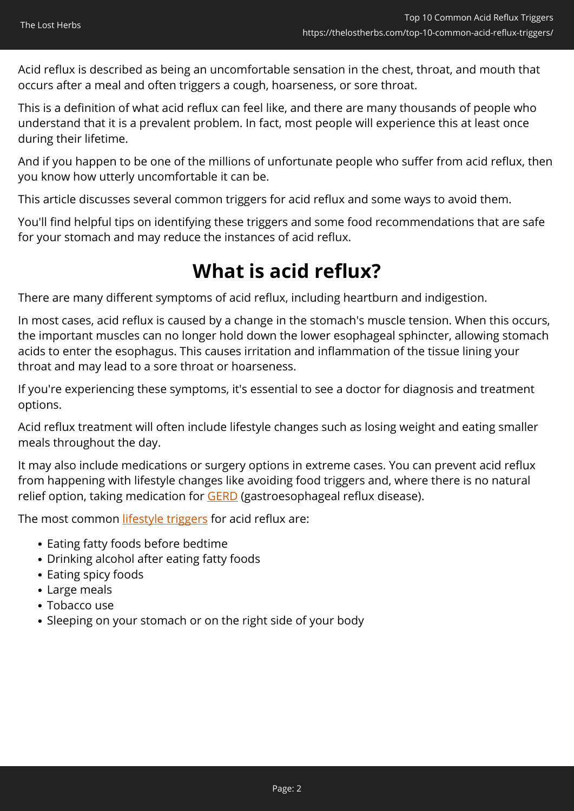Acid reflux is described as being an uncomfortable sensation in the chest, throat, and mouth that occurs after a meal and often triggers a cough, hoarseness, or sore throat.

This is a definition of what acid reflux can feel like, and there are many thousands of people who understand that it is a prevalent problem. In fact, most people will experience this at least once during their lifetime.

And if you happen to be one of the millions of unfortunate people who suffer from acid reflux, then you know how utterly uncomfortable it can be.

This article discusses several common triggers for acid reflux and some ways to avoid them.

You'll find helpful tips on identifying these triggers and some food recommendations that are safe for your stomach and may reduce the instances of acid reflux.

# **What is acid reflux?**

There are many different symptoms of acid reflux, including heartburn and indigestion.

In most cases, acid reflux is caused by a change in the stomach's muscle tension. When this occurs, the important muscles can no longer hold down the lower esophageal sphincter, allowing stomach acids to enter the esophagus. This causes irritation and inflammation of the tissue lining your throat and may lead to a sore throat or hoarseness.

If you're experiencing these symptoms, it's essential to see a doctor for diagnosis and treatment options.

Acid reflux treatment will often include lifestyle changes such as losing weight and eating smaller meals throughout the day.

It may also include medications or surgery options in extreme cases. You can prevent acid reflux from happening with lifestyle changes like avoiding food triggers and, where there is no natural relief option, taking medication for **GERD** (gastroesophageal reflux disease).

The most common *lifestyle triggers* for acid reflux are:

- Eating fatty foods before bedtime
- Drinking alcohol after eating fatty foods
- Eating spicy foods
- Large meals
- Tobacco use
- Sleeping on your stomach or on the right side of your body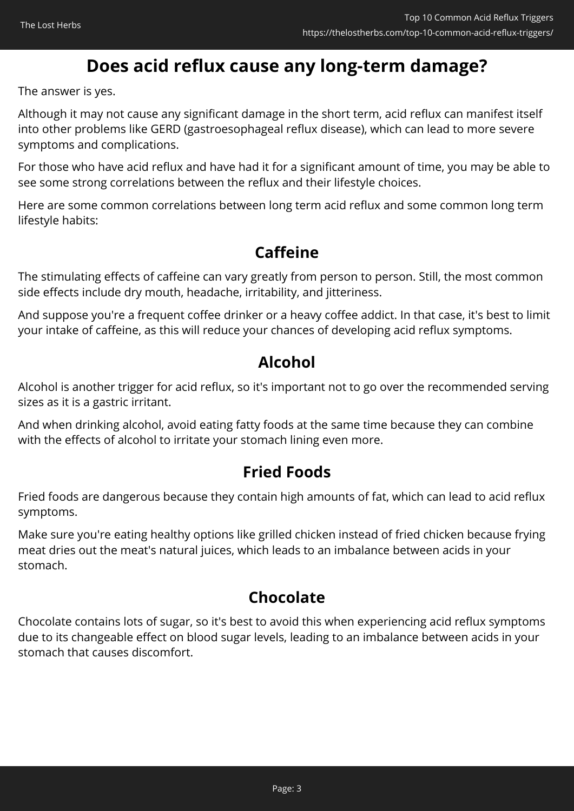# **Does acid reflux cause any long-term damage?**

The answer is yes.

Although it may not cause any significant damage in the short term, acid reflux can manifest itself into other problems like GERD (gastroesophageal reflux disease), which can lead to more severe symptoms and complications.

For those who have acid reflux and have had it for a significant amount of time, you may be able to see some strong correlations between the reflux and their lifestyle choices.

Here are some common correlations between long term acid reflux and some common long term lifestyle habits:

## **Caffeine**

The stimulating effects of caffeine can vary greatly from person to person. Still, the most common side effects include dry mouth, headache, irritability, and jitteriness.

And suppose you're a frequent coffee drinker or a heavy coffee addict. In that case, it's best to limit your intake of caffeine, as this will reduce your chances of developing acid reflux symptoms.

## **Alcohol**

Alcohol is another trigger for acid reflux, so it's important not to go over the recommended serving sizes as it is a gastric irritant.

And when drinking alcohol, avoid eating fatty foods at the same time because they can combine with the effects of alcohol to irritate your stomach lining even more.

## **Fried Foods**

Fried foods are dangerous because they contain high amounts of fat, which can lead to acid reflux symptoms.

Make sure you're eating healthy options like grilled chicken instead of fried chicken because frying meat dries out the meat's natural juices, which leads to an imbalance between acids in your stomach.

## **Chocolate**

Chocolate contains lots of sugar, so it's best to avoid this when experiencing acid reflux symptoms due to its changeable effect on blood sugar levels, leading to an imbalance between acids in your stomach that causes discomfort.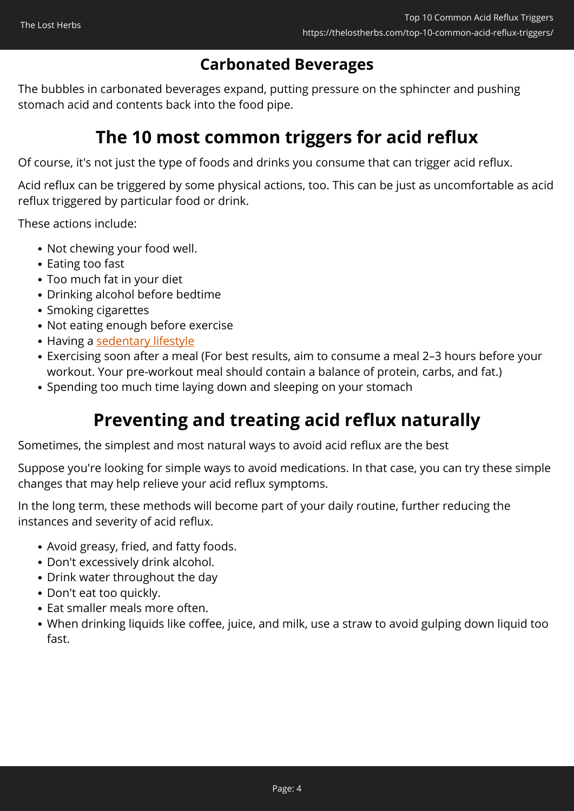## **Carbonated Beverages**

The bubbles in carbonated beverages expand, putting pressure on the sphincter and pushing stomach acid and contents back into the food pipe.

# **The 10 most common triggers for acid reflux**

Of course, it's not just the type of foods and drinks you consume that can trigger acid reflux.

Acid reflux can be triggered by some physical actions, too. This can be just as uncomfortable as acid reflux triggered by particular food or drink.

These actions include:

- Not chewing your food well.
- Eating too fast
- Too much fat in your diet
- Drinking alcohol before bedtime
- Smoking cigarettes
- Not eating enough before exercise
- Having a [sedentary lifestyle](https://www.ncbi.nlm.nih.gov/pmc/articles/PMC3595718/)
- Exercising soon after a meal (For best results, aim to consume a meal 2–3 hours before your workout. Your pre-workout meal should contain a balance of protein, carbs, and fat.)
- Spending too much time laying down and sleeping on your stomach

# **Preventing and treating acid reflux naturally**

Sometimes, the simplest and most natural ways to avoid acid reflux are the best

Suppose you're looking for simple ways to avoid medications. In that case, you can try these simple changes that may help relieve your acid reflux symptoms.

In the long term, these methods will become part of your daily routine, further reducing the instances and severity of acid reflux.

- Avoid greasy, fried, and fatty foods.
- Don't excessively drink alcohol.
- Drink water throughout the day
- Don't eat too quickly.
- Eat smaller meals more often.
- When drinking liquids like coffee, juice, and milk, use a straw to avoid gulping down liquid too fast.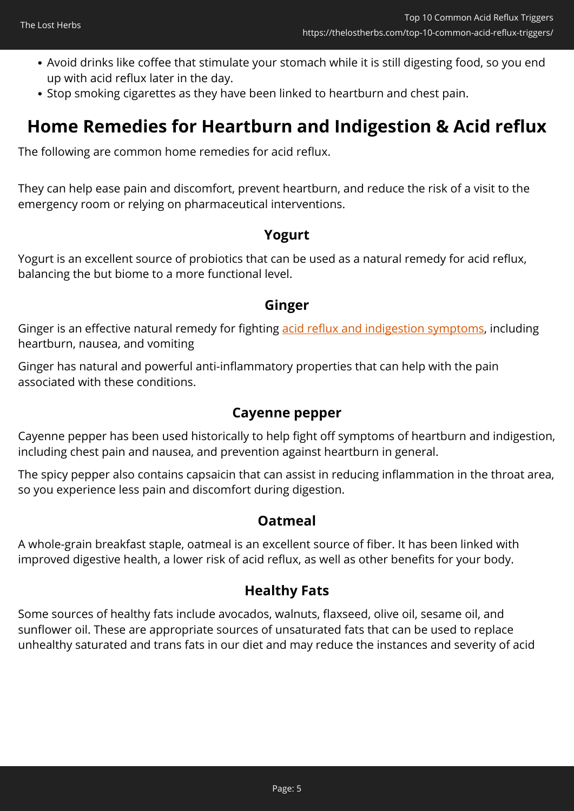- Avoid drinks like coffee that stimulate your stomach while it is still digesting food, so you end up with acid reflux later in the day.
- Stop smoking cigarettes as they have been linked to heartburn and chest pain.

## **Home Remedies for Heartburn and Indigestion & Acid reflux**

The following are common home remedies for acid reflux.

They can help ease pain and discomfort, prevent heartburn, and reduce the risk of a visit to the emergency room or relying on pharmaceutical interventions.

### **Yogurt**

Yogurt is an excellent source of probiotics that can be used as a natural remedy for acid reflux, balancing the but biome to a more functional level.

### **Ginger**

Ginger is an effective natural remedy for fighting [acid reflux and indigestion symptoms](https://www.ncbi.nlm.nih.gov/pmc/articles/PMC6341159/), including heartburn, nausea, and vomiting

Ginger has natural and powerful anti-inflammatory properties that can help with the pain associated with these conditions.

### **Cayenne pepper**

Cayenne pepper has been used historically to help fight off symptoms of heartburn and indigestion, including chest pain and nausea, and prevention against heartburn in general.

The spicy pepper also contains capsaicin that can assist in reducing inflammation in the throat area, so you experience less pain and discomfort during digestion.

### **Oatmeal**

A whole-grain breakfast staple, oatmeal is an excellent source of fiber. It has been linked with improved digestive health, a lower risk of acid reflux, as well as other benefits for your body.

### **Healthy Fats**

Some sources of healthy fats include avocados, walnuts, flaxseed, olive oil, sesame oil, and sunflower oil. These are appropriate sources of unsaturated fats that can be used to replace unhealthy saturated and trans fats in our diet and may reduce the instances and severity of acid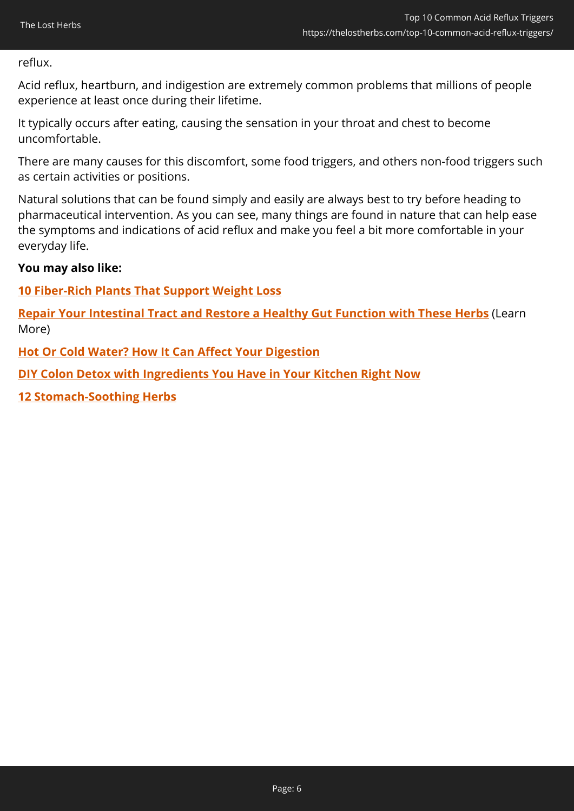reflux.

Acid reflux, heartburn, and indigestion are extremely common problems that millions of people experience at least once during their lifetime.

It typically occurs after eating, causing the sensation in your throat and chest to become uncomfortable.

There are many causes for this discomfort, some food triggers, and others non-food triggers such as certain activities or positions.

Natural solutions that can be found simply and easily are always best to try before heading to pharmaceutical intervention. As you can see, many things are found in nature that can help ease the symptoms and indications of acid reflux and make you feel a bit more comfortable in your everyday life.

### **You may also like:**

### **[10 Fiber-Rich Plants That Support Weight Loss](https://thelostherbs.com/10-fiber-rich-plants-that-support-weight-loss/)**

**[Repair Your Intestinal Tract and Restore a Healthy Gut Function with These Herbs](https://nicolesapothecary.com/collections/all/products/balanced-leaky-gut-tincture?rfsn=5642246.05c3d29&utm_source=refersion&utm_medium=affiliate&utm_campaign=5642246.05c3d29&subid=C02AcidRefluxTriggersBGT)** (Learn More)

**[Hot Or Cold Water? How It Can Affect Your Digestion](https://thelostherbs.com/hot-or-cold-water-how-it-can-affect-your-digestion/)**

**[DIY Colon Detox with Ingredients You Have in Your Kitchen Right Now](https://thelostherbs.com/diy-colon-detox-with-ingredients-you-have-in-your-kitchen-right-now/)**

**[12 Stomach-Soothing Herbs](https://thelostherbs.com/12-stomach-soothing-herbs/)**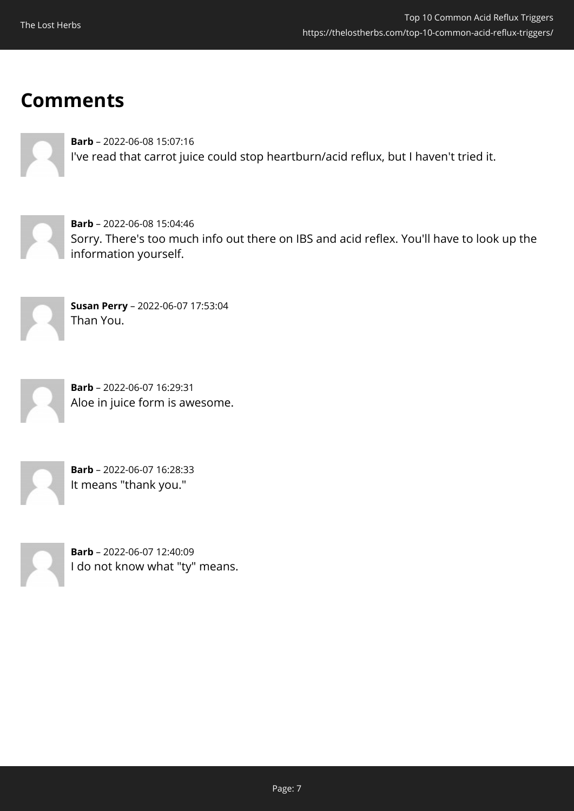# **Comments**

**Barb** – 2022-06-08 15:07:16 I've read that carrot juice could stop heartburn/acid reflux, but I haven't tried it.

**Barb** – 2022-06-08 15:04:46 Sorry. There's too much info out there on IBS and acid reflex. You'll have to look up the information yourself.



**Susan Perry** – 2022-06-07 17:53:04 Than You.



**Barb** – 2022-06-07 16:29:31 Aloe in juice form is awesome.



**Barb** – 2022-06-07 16:28:33 It means "thank you."



**Barb** – 2022-06-07 12:40:09 I do not know what "ty" means.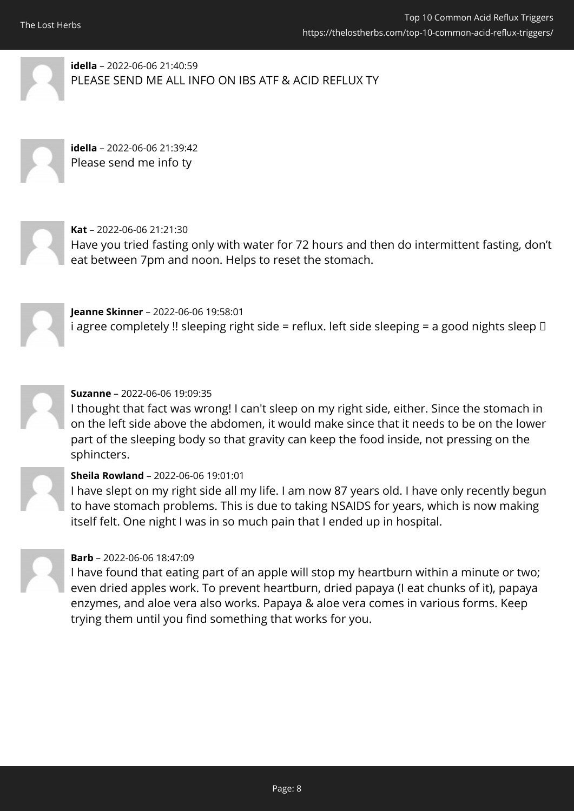**idella** – 2022-06-06 21:40:59 PLEASE SEND ME ALL INFO ON IBS ATF & ACID REFLUX TY

**idella** – 2022-06-06 21:39:42 Please send me info ty



**Kat** – 2022-06-06 21:21:30 Have you tried fasting only with water for 72 hours and then do intermittent fasting, don't eat between 7pm and noon. Helps to reset the stomach.

**Jeanne Skinner** – 2022-06-06 19:58:01 i agree completely !! sleeping right side = reflux. left side sleeping = a good nights sleep  $\Box$ 



### **Suzanne** – 2022-06-06 19:09:35

I thought that fact was wrong! I can't sleep on my right side, either. Since the stomach in on the left side above the abdomen, it would make since that it needs to be on the lower part of the sleeping body so that gravity can keep the food inside, not pressing on the sphincters.

### **Sheila Rowland** – 2022-06-06 19:01:01

I have slept on my right side all my life. I am now 87 years old. I have only recently begun to have stomach problems. This is due to taking NSAIDS for years, which is now making itself felt. One night I was in so much pain that I ended up in hospital.



### **Barb** – 2022-06-06 18:47:09

I have found that eating part of an apple will stop my heartburn within a minute or two; even dried apples work. To prevent heartburn, dried papaya (I eat chunks of it), papaya enzymes, and aloe vera also works. Papaya & aloe vera comes in various forms. Keep trying them until you find something that works for you.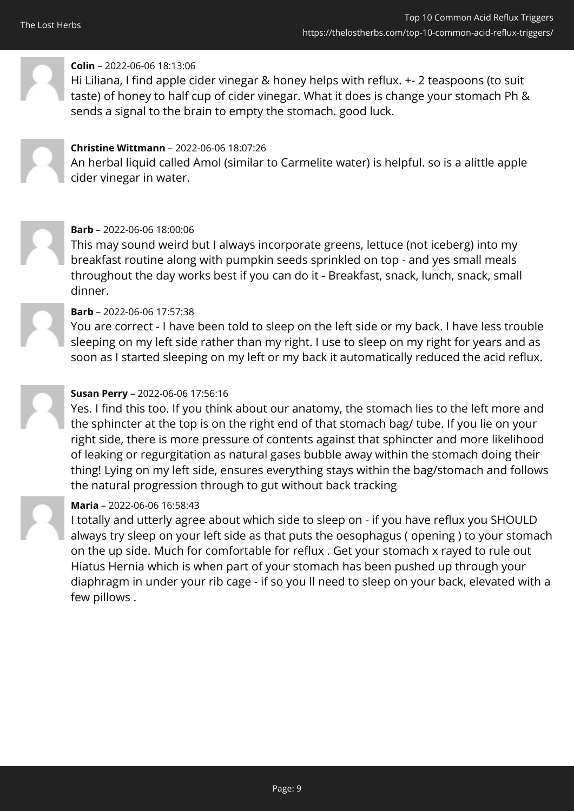

### **Colin** – 2022-06-06 18:13:06

Hi Liliana, I find apple cider vinegar & honey helps with reflux. +- 2 teaspoons (to suit taste) of honey to half cup of cider vinegar. What it does is change your stomach Ph & sends a signal to the brain to empty the stomach. good luck.



### **Christine Wittmann** – 2022-06-06 18:07:26

An herbal liquid called Amol (similar to Carmelite water) is helpful. so is a alittle apple cider vinegar in water.



### **Barb** – 2022-06-06 18:00:06

This may sound weird but I always incorporate greens, lettuce (not iceberg) into my breakfast routine along with pumpkin seeds sprinkled on top - and yes small meals throughout the day works best if you can do it - Breakfast, snack, lunch, snack, small dinner.

### **Barb** – 2022-06-06 17:57:38

You are correct - I have been told to sleep on the left side or my back. I have less trouble sleeping on my left side rather than my right. I use to sleep on my right for years and as soon as I started sleeping on my left or my back it automatically reduced the acid reflux.

### **Susan Perry** – 2022-06-06 17:56:16

Yes. I find this too. If you think about our anatomy, the stomach lies to the left more and the sphincter at the top is on the right end of that stomach bag/ tube. If you lie on your right side, there is more pressure of contents against that sphincter and more likelihood of leaking or regurgitation as natural gases bubble away within the stomach doing their thing! Lying on my left side, ensures everything stays within the bag/stomach and follows the natural progression through to gut without back tracking

### **Maria** – 2022-06-06 16:58:43

I totally and utterly agree about which side to sleep on - if you have reflux you SHOULD always try sleep on your left side as that puts the oesophagus ( opening ) to your stomach on the up side. Much for comfortable for reflux . Get your stomach x rayed to rule out Hiatus Hernia which is when part of your stomach has been pushed up through your diaphragm in under your rib cage - if so you ll need to sleep on your back, elevated with a few pillows .